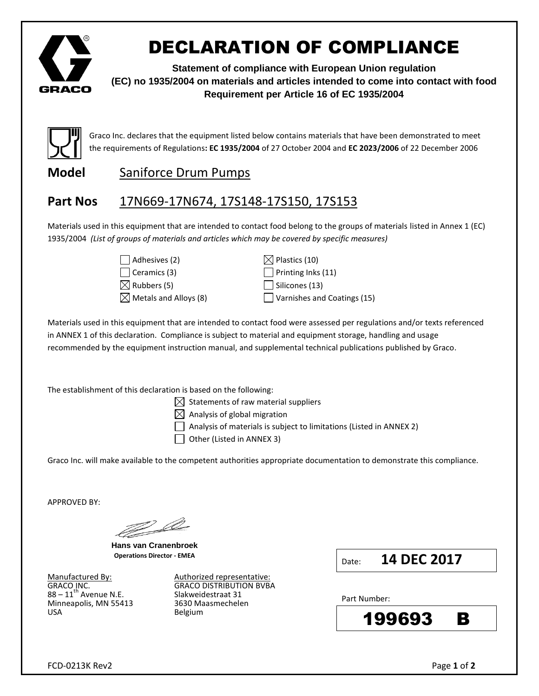

# DECLARATION OF COMPLIANCE

**Statement of compliance with European Union regulation (EC) no 1935/2004 on materials and articles intended to come into contact with food Requirement per Article 16 of EC 1935/2004**



Graco Inc. declares that the equipment listed below contains materials that have been demonstrated to meet the requirements of Regulations**: EC 1935/2004** of 27 October 2004 and **EC 2023/2006** of 22 December 2006

### **Model** Saniforce Drum Pumps

### **Part Nos** 17N669-17N674, 17S148-17S150, 17S153

Materials used in this equipment that are intended to contact food belong to the groups of materials listed in Annex 1 (EC) 1935/2004 *(List of groups of materials and articles which may be covered by specific measures)*

| $\Box$ Adhesives (2)            |
|---------------------------------|
| $\Box$ Ceramics (3)             |
| $\boxtimes$ Rubbers (5)         |
| $\boxtimes$ Metals and Alloys ( |

 $\boxtimes$  Plastics (10)  $\Box$  Printing Inks (11)  $\Box$  Silicones (13)  $\Box$  Varnishes and Coatings (15)

Materials used in this equipment that are intended to contact food were assessed per regulations and/or texts referenced in ANNEX 1 of this declaration. Compliance is subject to material and equipment storage, handling and usage recommended by the equipment instruction manual, and supplemental technical publications published by Graco.

The establishment of this declaration is based on the following:

 $\boxtimes$  Statements of raw material suppliers

 $\boxtimes$  Analysis of global migration

 $\vert$   $\vert$  Analysis of materials is subject to limitations (Listed in ANNEX 2)

 $\Box$  Other (Listed in ANNEX 3)

Graco Inc. will make available to the competent authorities appropriate documentation to demonstrate this compliance.

APPROVED BY:

W.

**Hans van Cranenbroek Operations Director - EMEA**

 $88 - 11^{\text{th}}$  Avenue N.E. Slakweidestraat 31 Minneapolis, MN 55413 S630 Maasmechelen Minneapolis, MN 55413 USA Belgium

Manufactured By: Authorized representative: GRACO INC.<br> $88 - 11^{\text{th}}$  Avenue N.E. Slakweidestraat 31

Date: **14 DEC 2017**

Part Number: